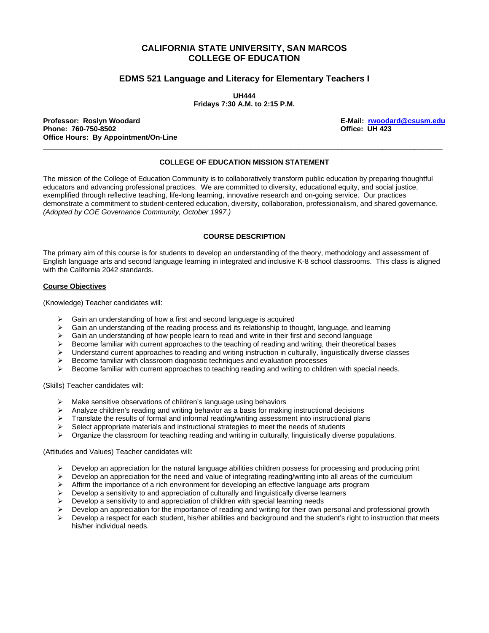# **CALIFORNIA STATE UNIVERSITY, SAN MARCOS COLLEGE OF EDUCATION**

## **EDMS 521 Language and Literacy for Elementary Teachers I**

**UH444 Fridays 7:30 A.M. to 2:15 P.M.** 

**Professor: Roslyn Woodard E-Mail: rwoodard@csusm.edu Phone: 760-750-8502 Office: UH 423 Office Hours: By Appointment/On-Line** 

### **COLLEGE OF EDUCATION MISSION STATEMENT**

 $\overline{a}$  , and the state of the state of the state of the state of the state of the state of the state of the state of the state of the state of the state of the state of the state of the state of the state of the state o

The mission of the College of Education Community is to collaboratively transform public education by preparing thoughtful educators and advancing professional practices. We are committed to diversity, educational equity, and social justice, exemplified through reflective teaching, life-long learning, innovative research and on-going service. Our practices demonstrate a commitment to student-centered education, diversity, collaboration, professionalism, and shared governance. *(Adopted by COE Governance Community, October 1997.)* 

### **COURSE DESCRIPTION**

The primary aim of this course is for students to develop an understanding of the theory, methodology and assessment of English language arts and second language learning in integrated and inclusive K-8 school classrooms. This class is aligned with the California 2042 standards.

#### **Course Objectives**

(Knowledge) Teacher candidates will:

- $\triangleright$  Gain an understanding of how a first and second language is acquired
- $\triangleright$  Gain an understanding of the reading process and its relationship to thought, language, and learning
- $\triangleright$  Gain an understanding of how people learn to read and write in their first and second language
- Become familiar with current approaches to the teaching of reading and writing, their theoretical bases
- $\triangleright$  Understand current approaches to reading and writing instruction in culturally, linguistically diverse classes
- ¾ Become familiar with classroom diagnostic techniques and evaluation processes
- $\triangleright$  Become familiar with current approaches to teaching reading and writing to children with special needs.

(Skills) Teacher candidates will:

- $\triangleright$  Make sensitive observations of children's language using behaviors
- $\triangleright$  Analyze children's reading and writing behavior as a basis for making instructional decisions
- $\triangleright$  Translate the results of formal and informal reading/writing assessment into instructional plans
- $\triangleright$  Select appropriate materials and instructional strategies to meet the needs of students
- $\triangleright$  Organize the classroom for teaching reading and writing in culturally, linguistically diverse populations.

(Attitudes and Values) Teacher candidates will:

- Develop an appreciation for the natural language abilities children possess for processing and producing print
- $\triangleright$  Develop an appreciation for the need and value of integrating reading/writing into all areas of the curriculum
- $\triangleright$  Affirm the importance of a rich environment for developing an effective language arts program
- $\triangleright$  Develop a sensitivity to and appreciation of culturally and linguistically diverse learners
- Develop a sensitivity to and appreciation of children with special learning needs
- Develop an appreciation for the importance of reading and writing for their own personal and professional growth
- Develop a respect for each student, his/her abilities and background and the student's right to instruction that meets his/her individual needs.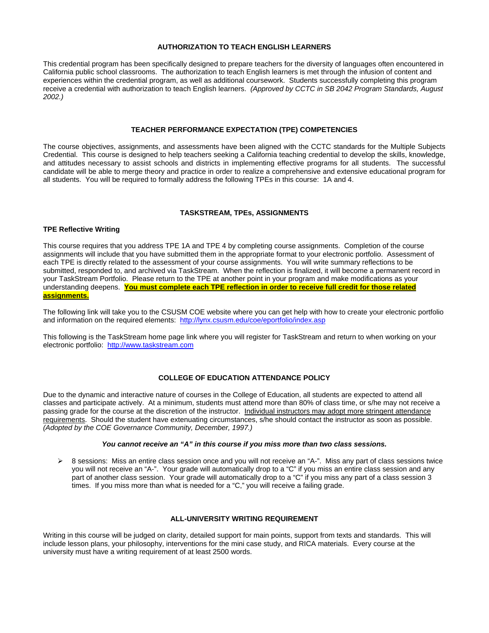#### **AUTHORIZATION TO TEACH ENGLISH LEARNERS**

This credential program has been specifically designed to prepare teachers for the diversity of languages often encountered in California public school classrooms. The authorization to teach English learners is met through the infusion of content and experiences within the credential program, as well as additional coursework. Students successfully completing this program receive a credential with authorization to teach English learners. *(Approved by CCTC in SB 2042 Program Standards, August 2002.)*

#### **TEACHER PERFORMANCE EXPECTATION (TPE) COMPETENCIES**

The course objectives, assignments, and assessments have been aligned with the CCTC standards for the Multiple Subjects Credential. This course is designed to help teachers seeking a California teaching credential to develop the skills, knowledge, and attitudes necessary to assist schools and districts in implementing effective programs for all students. The successful candidate will be able to merge theory and practice in order to realize a comprehensive and extensive educational program for all students. You will be required to formally address the following TPEs in this course: 1A and 4.

#### **TASKSTREAM, TPEs, ASSIGNMENTS**

#### **TPE Reflective Writing**

This course requires that you address TPE 1A and TPE 4 by completing course assignments. Completion of the course assignments will include that you have submitted them in the appropriate format to your electronic portfolio. Assessment of each TPE is directly related to the assessment of your course assignments. You will write summary reflections to be submitted, responded to, and archived via TaskStream.When the reflection is finalized, it will become a permanent record in your TaskStream Portfolio. Please return to the TPE at another point in your program and make modifications as your understanding deepens. **You must complete each TPE reflection in order to receive full credit for those related assignments.**

The following link will take you to the CSUSM COE website where you can get help with how to create your electronic portfolio and information on the required elements: http://lynx.csusm.edu/coe/eportfolio/index.asp

This following is the TaskStream home page link where you will register for TaskStream and return to when working on your electronic portfolio: http://www.taskstream.com

### **COLLEGE OF EDUCATION ATTENDANCE POLICY**

Due to the dynamic and interactive nature of courses in the College of Education, all students are expected to attend all classes and participate actively. At a minimum, students must attend more than 80% of class time, or s/he may not receive a passing grade for the course at the discretion of the instructor. Individual instructors may adopt more stringent attendance requirements. Should the student have extenuating circumstances, s/he should contact the instructor as soon as possible. *(Adopted by the COE Governance Community, December, 1997.)*

### *You cannot receive an "A" in this course if you miss more than two class sessions.*

¾ 8 sessions: Miss an entire class session once and you will not receive an "A-". Miss any part of class sessions twice you will not receive an "A-". Your grade will automatically drop to a "C" if you miss an entire class session and any part of another class session. Your grade will automatically drop to a "C" if you miss any part of a class session 3 times. If you miss more than what is needed for a "C," you will receive a failing grade.

#### **ALL-UNIVERSITY WRITING REQUIREMENT**

Writing in this course will be judged on clarity, detailed support for main points, support from texts and standards. This will include lesson plans, your philosophy, interventions for the mini case study, and RICA materials. Every course at the university must have a writing requirement of at least 2500 words.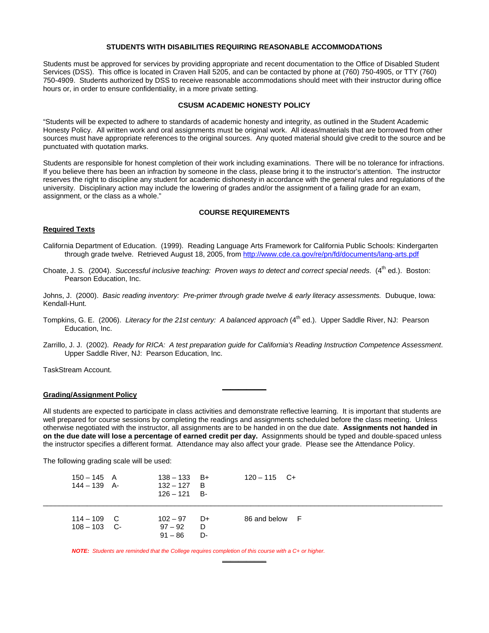#### **STUDENTS WITH DISABILITIES REQUIRING REASONABLE ACCOMMODATIONS**

Students must be approved for services by providing appropriate and recent documentation to the Office of Disabled Student Services (DSS). This office is located in Craven Hall 5205, and can be contacted by phone at (760) 750-4905, or TTY (760) 750-4909. Students authorized by DSS to receive reasonable accommodations should meet with their instructor during office hours or, in order to ensure confidentiality, in a more private setting.

#### **CSUSM ACADEMIC HONESTY POLICY**

"Students will be expected to adhere to standards of academic honesty and integrity, as outlined in the Student Academic Honesty Policy. All written work and oral assignments must be original work. All ideas/materials that are borrowed from other sources must have appropriate references to the original sources. Any quoted material should give credit to the source and be punctuated with quotation marks.

Students are responsible for honest completion of their work including examinations. There will be no tolerance for infractions. If you believe there has been an infraction by someone in the class, please bring it to the instructor's attention. The instructor reserves the right to discipline any student for academic dishonesty in accordance with the general rules and regulations of the university. Disciplinary action may include the lowering of grades and/or the assignment of a failing grade for an exam, assignment, or the class as a whole."

### **COURSE REQUIREMENTS**

#### **Required Texts**

California Department of Education. (1999). Reading Language Arts Framework for California Public Schools: Kindergarten through grade twelve. Retrieved August 18, 2005, from http://www.cde.ca.gov/re/pn/fd/documents/lang-arts.pdf

Choate, J. S. (2004). *Successful inclusive teaching: Proven ways to detect and correct special needs.* (4<sup>th</sup> ed.). Boston: Pearson Education, Inc.

Johns, J. (2000). *Basic reading inventory: Pre-primer through grade twelve & early literacy assessments.* Dubuque, Iowa: Kendall-Hunt.

- Tompkins, G. E. (2006). *Literacy for the 21st century: A balanced approach* (4th ed.). Upper Saddle River, NJ: Pearson Education, Inc.
- Zarrillo, J. J. (2002). *Ready for RICA: A test preparation guide for California's Reading Instruction Competence Assessment*. Upper Saddle River, NJ: Pearson Education, Inc.

**\_\_\_\_\_\_\_\_\_\_\_**

TaskStream Account.

### **Grading/Assignment Policy**

All students are expected to participate in class activities and demonstrate reflective learning. It is important that students are well prepared for course sessions by completing the readings and assignments scheduled before the class meeting. Unless otherwise negotiated with the instructor, all assignments are to be handed in on the due date. **Assignments not handed in on the due date will lose a percentage of earned credit per day.** Assignments should be typed and double-spaced unless the instructor specifies a different format. Attendance may also affect your grade. Please see the Attendance Policy.

**\_\_\_\_\_\_\_\_\_\_\_**

The following grading scale will be used:

| $150 - 145$ A<br>$144 - 139$ A- | $138 - 133$ B+<br>$132 - 127$ B<br>$126 - 121$ B-     | $120 - 115$ C+ |  |
|---------------------------------|-------------------------------------------------------|----------------|--|
| $114 - 109$ C<br>$108 - 103$ C- | $102 - 97$<br>D+<br>$97 - 92$<br>D<br>$91 - 86$<br>D- | 86 and below F |  |

*NOTE: Students are reminded that the College requires completion of this course with a C+ or higher.*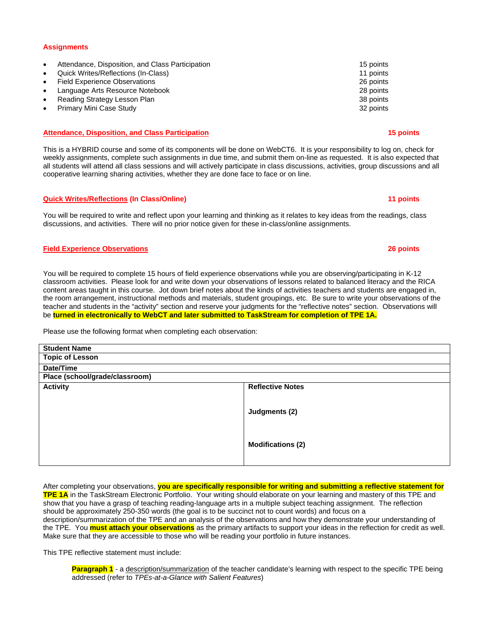#### **Assignments**

- Attendance, Disposition, and Class Participation 15 points 15 points
- Quick Writes/Reflections (In-Class) 11 points
- Field Experience Observations 26 points
- Language Arts Resource Notebook 28 points
- **Frame Strategy Lesson Plan 38 points** 28 points 38 points
- Primary Mini Case Study 32 points

#### **Attendance, Disposition, and Class Participation 15 points 15 points 15 points 15 points 15 points 15 points 15 points 15 points 15 points 15 points 15 points 15 points 15 points 15 points 16 points 16 points 16 points 16**

This is a HYBRID course and some of its components will be done on WebCT6. It is your responsibility to log on, check for weekly assignments, complete such assignments in due time, and submit them on-line as requested. It is also expected that all students will attend all class sessions and will actively participate in class discussions, activities, group discussions and all cooperative learning sharing activities, whether they are done face to face or on line.

#### **Quick Writes/Reflections (In Class/Online)** 11 points **11 points 11 points**

You will be required to write and reflect upon your learning and thinking as it relates to key ideas from the readings, class discussions, and activities. There will no prior notice given for these in-class/online assignments.

#### **Field Experience Observations 26 points**

You will be required to complete 15 hours of field experience observations while you are observing/participating in K-12 classroom activities. Please look for and write down your observations of lessons related to balanced literacy and the RICA content areas taught in this course. Jot down brief notes about the kinds of activities teachers and students are engaged in, the room arrangement, instructional methods and materials, student groupings, etc. Be sure to write your observations of the teacher and students in the "activity" section and reserve your judgments for the "reflective notes" section. Observations will be **turned in electronically to WebCT and later submitted to TaskStream for completion of TPE 1A.**

Please use the following format when completing each observation:

| <b>Student Name</b>            |                          |  |  |  |
|--------------------------------|--------------------------|--|--|--|
| <b>Topic of Lesson</b>         |                          |  |  |  |
| Date/Time                      |                          |  |  |  |
| Place (school/grade/classroom) |                          |  |  |  |
| <b>Activity</b>                | <b>Reflective Notes</b>  |  |  |  |
|                                | Judgments (2)            |  |  |  |
|                                | <b>Modifications (2)</b> |  |  |  |

After completing your observations, **you are specifically responsible for writing and submitting a reflective statement for TPE 1A** in the TaskStream Electronic Portfolio. Your writing should elaborate on your learning and mastery of this TPE and show that you have a grasp of teaching reading-language arts in a multiple subject teaching assignment. The reflection should be approximately 250-350 words (the goal is to be succinct not to count words) and focus on a description/summarization of the TPE and an analysis of the observations and how they demonstrate your understanding of the TPE. You **must attach your observations** as the primary artifacts to support your ideas in the reflection for credit as well. Make sure that they are accessible to those who will be reading your portfolio in future instances.

This TPE reflective statement must include:

**Paragraph 1** - a description/summarization of the teacher candidate's learning with respect to the specific TPE being addressed (refer to *TPEs-at-a-Glance with Salient Features*)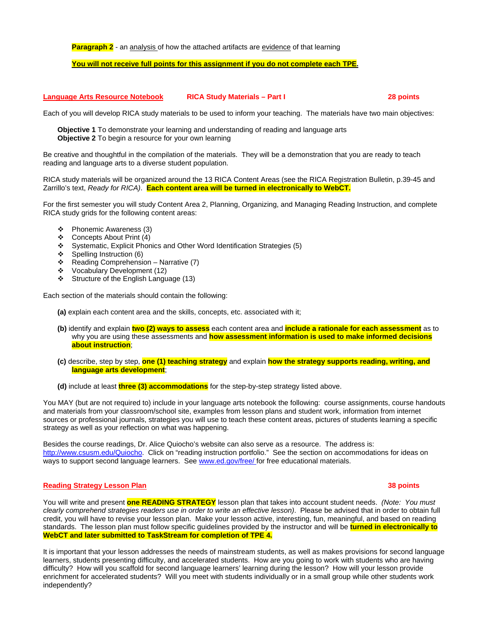**Paragraph 2** - an analysis of how the attached artifacts are evidence of that learning

#### **You will not receive full points for this assignment if you do not complete each TPE.**

**Language Arts Resource Notebook RICA Study Materials – Part I 28 points** 

Each of you will develop RICA study materials to be used to inform your teaching. The materials have two main objectives:

**Objective 1** To demonstrate your learning and understanding of reading and language arts **Objective 2** To begin a resource for your own learning

Be creative and thoughtful in the compilation of the materials. They will be a demonstration that you are ready to teach reading and language arts to a diverse student population.

RICA study materials will be organized around the 13 RICA Content Areas (see the RICA Registration Bulletin, p.39-45 and Zarrillo's text, *Ready for RICA)*. **Each content area will be turned in electronically to WebCT.**

For the first semester you will study Content Area 2, Planning, Organizing, and Managing Reading Instruction, and complete RICA study grids for the following content areas:

- Phonemic Awareness (3)
- $\div$  Concepts About Print (4)
- Systematic, Explicit Phonics and Other Word Identification Strategies (5)
- $\div$  Spelling Instruction (6)
- $\div$  Reading Comprehension Narrative (7)
- Vocabulary Development (12)
- Structure of the English Language (13)

Each section of the materials should contain the following:

- **(a)** explain each content area and the skills, concepts, etc. associated with it;
- **(b)** identify and explain **two (2) ways to assess** each content area and **include a rationale for each assessment** as to why you are using these assessments and **how assessment information is used to make informed decisions about instruction**;
- **(c)** describe, step by step, **one (1) teaching strategy** and explain **how the strategy supports reading, writing, and language arts development**;
- **(d)** include at least **three (3) accommodations** for the step-by-step strategy listed above.

You MAY (but are not required to) include in your language arts notebook the following: course assignments, course handouts and materials from your classroom/school site, examples from lesson plans and student work, information from internet sources or professional journals, strategies you will use to teach these content areas, pictures of students learning a specific strategy as well as your reflection on what was happening.

Besides the course readings, Dr. Alice Quiocho's website can also serve as a resource. The address is: http://www.csusm.edu/Quiocho. Click on "reading instruction portfolio." See the section on accommodations for ideas on ways to support second language learners. See www.ed.gov/free/ for free educational materials.

#### **Reading Strategy Lesson Plan 38 points Reading Strategy Lesson Plan**

#### You will write and present **one READING STRATEGY** lesson plan that takes into account student needs. *(Note: You must clearly comprehend strategies readers use in order to write an effective lesson)*. Please be advised that in order to obtain full credit, you will have to revise your lesson plan. Make your lesson active, interesting, fun, meaningful, and based on reading standards. The lesson plan must follow specific guidelines provided by the instructor and will be **turned in electronically to WebCT and later submitted to TaskStream for completion of TPE 4.**

It is important that your lesson addresses the needs of mainstream students, as well as makes provisions for second language learners, students presenting difficulty, and accelerated students. How are you going to work with students who are having difficulty? How will you scaffold for second language learners' learning during the lesson? How will your lesson provide enrichment for accelerated students? Will you meet with students individually or in a small group while other students work independently?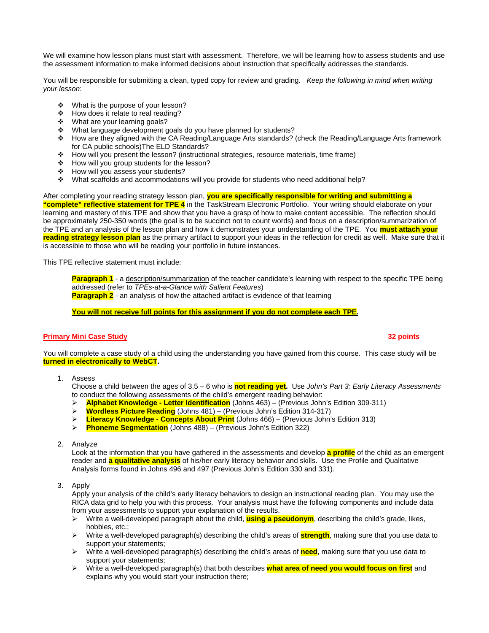We will examine how lesson plans must start with assessment. Therefore, we will be learning how to assess students and use the assessment information to make informed decisions about instruction that specifically addresses the standards.

You will be responsible for submitting a clean, typed copy for review and grading. *Keep the following in mind when writing your lesson*:

- ❖ What is the purpose of your lesson?
- ❖ How does it relate to real reading?
- What are your learning goals?
- \* What language development goals do you have planned for students?
- How are they aligned with the CA Reading/Language Arts standards? (check the Reading/Language Arts framework for CA public schools)The ELD Standards?
- How will you present the lesson? (instructional strategies, resource materials, time frame)
- How will you group students for the lesson?
- How will you assess your students?
- What scaffolds and accommodations will you provide for students who need additional help?

#### After completing your reading strategy lesson plan, **you are specifically responsible for writing and submitting a "complete" reflective statement for TPE 4** in the TaskStream Electronic Portfolio. Your writing should elaborate on your learning and mastery of this TPE and show that you have a grasp of how to make content accessible. The reflection should be approximately 250-350 words (the goal is to be succinct not to count words) and focus on a description/summarization of the TPE and an analysis of the lesson plan and how it demonstrates your understanding of the TPE. You **must attach your reading strategy lesson plan** as the primary artifact to support your ideas in the reflection for credit as well. Make sure that it is accessible to those who will be reading your portfolio in future instances.

This TPE reflective statement must include:

**Paragraph 1** - a description/summarization of the teacher candidate's learning with respect to the specific TPE being addressed (refer to *TPEs-at-a-Glance with Salient Features*)

**Paragraph 2** - an analysis of how the attached artifact is evidence of that learning

**You will not receive full points for this assignment if you do not complete each TPE.**

### **Primary Mini Case Study 32 points**

You will complete a case study of a child using the understanding you have gained from this course. This case study will be **turned in electronically to WebCT.** 

1. Assess

Choose a child between the ages of 3.5 – 6 who is **not reading yet.** Use *John's Part 3: Early Literacy Assessments* to conduct the following assessments of the child's emergent reading behavior:

- ¾ **Alphabet Knowledge Letter Identification** (Johns 463) (Previous John's Edition 309-311)
- ¾ **Wordless Picture Reading** (Johns 481) (Previous John's Edition 314-317)
- ¾ **Literacy Knowledge Concepts About Print** (Johns 466) (Previous John's Edition 313)
- ¾ **Phoneme Segmentation** (Johns 488) (Previous John's Edition 322)
- 2. Analyze

Look at the information that you have gathered in the assessments and develop **a profile** of the child as an emergent reader and **a qualitative analysis** of his/her early literacy behavior and skills. Use the Profile and Qualitative Analysis forms found in Johns 496 and 497 (Previous John's Edition 330 and 331).

3. Apply

Apply your analysis of the child's early literacy behaviors to design an instructional reading plan. You may use the RICA data grid to help you with this process. Your analysis must have the following components and include data from your assessments to support your explanation of the results.

- ¾ Write a well-developed paragraph about the child, **using a pseudonym**, describing the child's grade, likes, hobbies, etc.;
- ¾ Write a well-developed paragraph(s) describing the child's areas of **strength**, making sure that you use data to support your statements;
- ¾ Write a well-developed paragraph(s) describing the child's areas of **need**, making sure that you use data to support your statements;
- ¾ Write a well-developed paragraph(s) that both describes **what area of need you would focus on first** and explains why you would start your instruction there;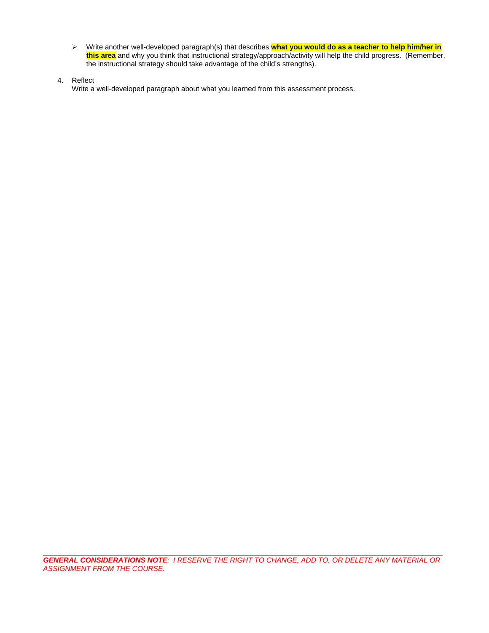- ¾ Write another well-developed paragraph(s) that describes **what you would do as a teacher to help him/her in this area** and why you think that instructional strategy/approach/activity will help the child progress. (Remember, the instructional strategy should take advantage of the child's strengths).
- 4. Reflect

Write a well-developed paragraph about what you learned from this assessment process.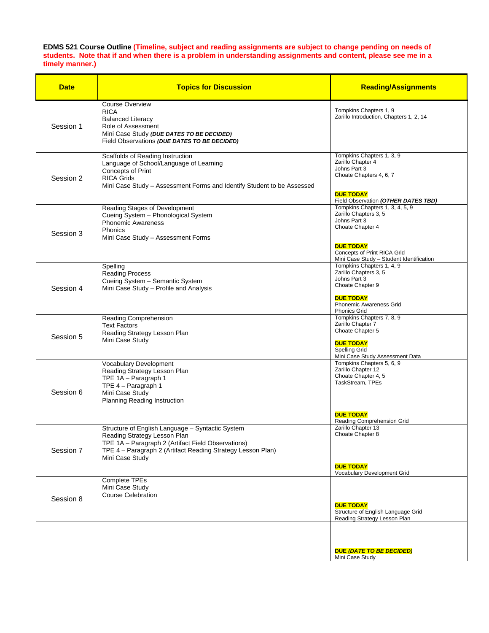#### **EDMS 521 Course Outline (Timeline, subject and reading assignments are subject to change pending on needs of students. Note that if and when there is a problem in understanding assignments and content, please see me in a timely manner.)**

| <b>Date</b> | <b>Topics for Discussion</b>                                                                                                                                                                                             | <b>Reading/Assignments</b>                                                                                                                                                                               |
|-------------|--------------------------------------------------------------------------------------------------------------------------------------------------------------------------------------------------------------------------|----------------------------------------------------------------------------------------------------------------------------------------------------------------------------------------------------------|
| Session 1   | <b>Course Overview</b><br><b>RICA</b><br><b>Balanced Literacy</b><br>Role of Assessment<br>Mini Case Study (DUE DATES TO BE DECIDED)<br>Field Observations (DUE DATES TO BE DECIDED)                                     | Tompkins Chapters 1, 9<br>Zarillo Introduction, Chapters 1, 2, 14                                                                                                                                        |
| Session 2   | Scaffolds of Reading Instruction<br>Language of School/Language of Learning<br>Concepts of Print<br><b>RICA Grids</b><br>Mini Case Study - Assessment Forms and Identify Student to be Assessed                          | Tompkins Chapters 1, 3, 9<br>Zarillo Chapter 4<br>Johns Part 3<br>Choate Chapters 4, 6, 7<br><b>DUE TODAY</b><br>Field Observation (OTHER DATES TBD)                                                     |
| Session 3   | Reading Stages of Development<br>Cueing System - Phonological System<br><b>Phonemic Awareness</b><br>Phonics<br>Mini Case Study - Assessment Forms                                                                       | Tompkins Chapters 1, 3, 4, 5, 9<br>Zarillo Chapters 3, 5<br>Johns Part 3<br>Choate Chapter 4<br><b>DUE TODAY</b><br>Concepts of Print RICA Grid                                                          |
| Session 4   | Spelling<br><b>Reading Process</b><br>Cueing System - Semantic System<br>Mini Case Study - Profile and Analysis                                                                                                          | Mini Case Study - Student Identification<br>Tompkins Chapters 1, 4, 9<br>Zarillo Chapters 3, 5<br>Johns Part 3<br>Choate Chapter 9<br><b>DUE TODAY</b><br>Phonemic Awareness Grid<br><b>Phonics Grid</b> |
| Session 5   | <b>Reading Comprehension</b><br><b>Text Factors</b><br>Reading Strategy Lesson Plan<br>Mini Case Study                                                                                                                   | Tompkins Chapters 7, 8, 9<br>Zarillo Chapter 7<br>Choate Chapter 5<br><b>DUE TODAY</b><br>Spelling Grid<br>Mini Case Study Assessment Data                                                               |
| Session 6   | Vocabulary Development<br>Reading Strategy Lesson Plan<br>TPE 1A - Paragraph 1<br>TPE 4 - Paragraph 1<br>Mini Case Study<br><b>Planning Reading Instruction</b>                                                          | Tompkins Chapters 5, 6, 9<br>Zarillo Chapter 12<br>Choate Chapter 4, 5<br>TaskStream, TPEs<br><b>DUE TODAY</b><br>Reading Comprehension Grid                                                             |
| Session 7   | Structure of English Language - Syntactic System<br>Reading Strategy Lesson Plan<br>TPE 1A - Paragraph 2 (Artifact Field Observations)<br>TPE 4 - Paragraph 2 (Artifact Reading Strategy Lesson Plan)<br>Mini Case Study | Zarillo Chapter 13<br>Choate Chapter 8<br><b>DUE TODAY</b><br>Vocabulary Development Grid                                                                                                                |
| Session 8   | Complete TPEs<br>Mini Case Study<br><b>Course Celebration</b>                                                                                                                                                            | <b>DUE TODAY</b><br>Structure of English Language Grid<br>Reading Strategy Lesson Plan                                                                                                                   |
|             |                                                                                                                                                                                                                          | <b>DUE (DATE TO BE DECIDED)</b><br>Mini Case Study                                                                                                                                                       |